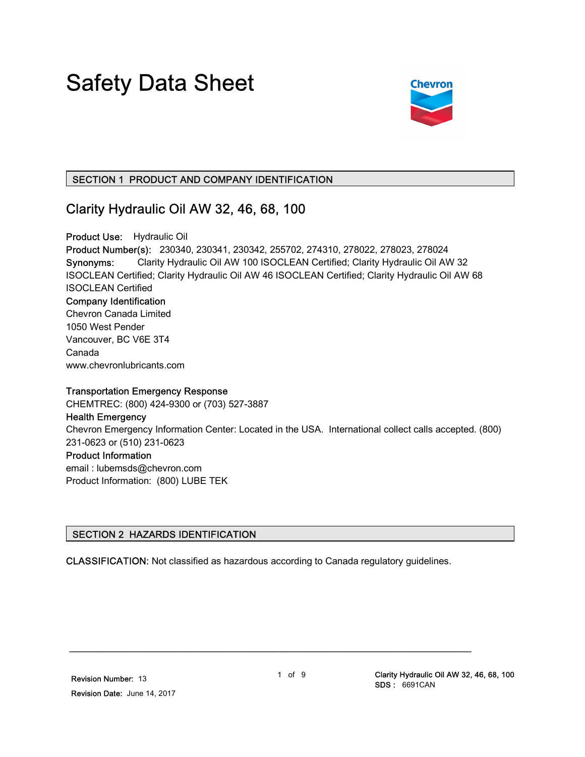# Safety Data Sheet



## SECTION 1 PRODUCT AND COMPANY IDENTIFICATION

## Clarity Hydraulic Oil AW 32, 46, 68, 100

Product Use: Hydraulic Oil Product Number(s): 230340, 230341, 230342, 255702, 274310, 278022, 278023, 278024 Synonyms: Clarity Hydraulic Oil AW 100 ISOCLEAN Certified; Clarity Hydraulic Oil AW 32 ISOCLEAN Certified; Clarity Hydraulic Oil AW 46 ISOCLEAN Certified; Clarity Hydraulic Oil AW 68 ISOCLEAN Certified Company Identification Chevron Canada Limited 1050 West Pender Vancouver, BC V6E 3T4 Canada www.chevronlubricants.com

#### Transportation Emergency Response

CHEMTREC: (800) 424-9300 or (703) 527-3887

#### Health Emergency

Chevron Emergency Information Center: Located in the USA. International collect calls accepted. (800) 231-0623 or (510) 231-0623

#### Product Information

email : lubemsds@chevron.com Product Information: (800) LUBE TEK

## SECTION 2 HAZARDS IDENTIFICATION

CLASSIFICATION: Not classified as hazardous according to Canada regulatory guidelines.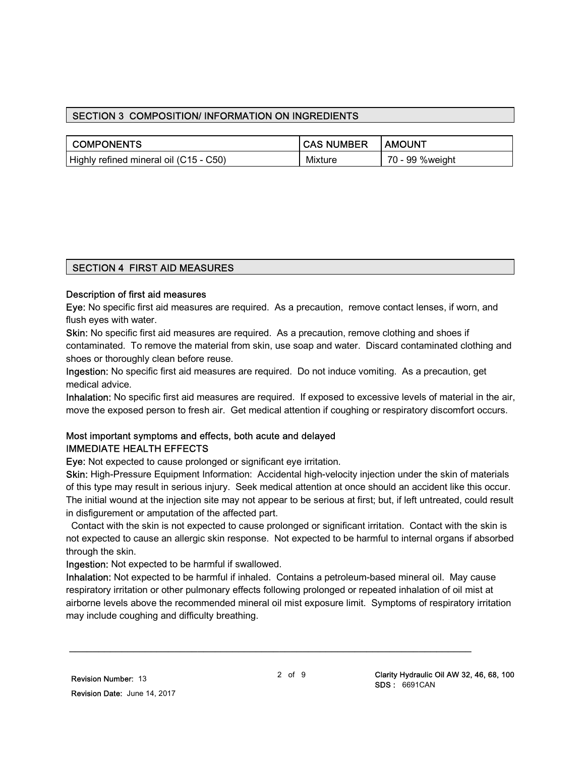## SECTION 3 COMPOSITION/ INFORMATION ON INGREDIENTS

| ∣ COMPONENTS                           | <b>CAS NUMBER</b> | <b>I AMOUNT</b>  |
|----------------------------------------|-------------------|------------------|
| Highly refined mineral oil (C15 - C50) | Mixture           | 70 - 99 % weight |

## SECTION 4 FIRST AID MEASURES

#### Description of first aid measures

Eye: No specific first aid measures are required. As a precaution, remove contact lenses, if worn, and flush eyes with water.

Skin: No specific first aid measures are required. As a precaution, remove clothing and shoes if contaminated. To remove the material from skin, use soap and water. Discard contaminated clothing and shoes or thoroughly clean before reuse.

Ingestion: No specific first aid measures are required. Do not induce vomiting. As a precaution, get medical advice.

Inhalation: No specific first aid measures are required. If exposed to excessive levels of material in the air, move the exposed person to fresh air. Get medical attention if coughing or respiratory discomfort occurs.

## Most important symptoms and effects, both acute and delayed IMMEDIATE HEALTH EFFECTS

Eye: Not expected to cause prolonged or significant eye irritation.

Skin: High-Pressure Equipment Information: Accidental high-velocity injection under the skin of materials of this type may result in serious injury. Seek medical attention at once should an accident like this occur. The initial wound at the injection site may not appear to be serious at first; but, if left untreated, could result in disfigurement or amputation of the affected part.

 Contact with the skin is not expected to cause prolonged or significant irritation. Contact with the skin is not expected to cause an allergic skin response. Not expected to be harmful to internal organs if absorbed through the skin.

Ingestion: Not expected to be harmful if swallowed.

Inhalation: Not expected to be harmful if inhaled. Contains a petroleum-based mineral oil. May cause respiratory irritation or other pulmonary effects following prolonged or repeated inhalation of oil mist at airborne levels above the recommended mineral oil mist exposure limit. Symptoms of respiratory irritation may include coughing and difficulty breathing.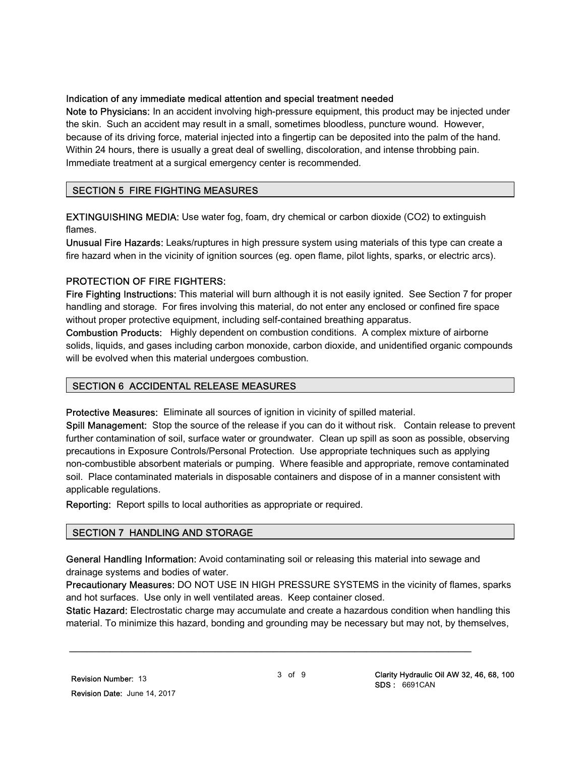#### Indication of any immediate medical attention and special treatment needed

Note to Physicians: In an accident involving high-pressure equipment, this product may be injected under the skin. Such an accident may result in a small, sometimes bloodless, puncture wound. However, because of its driving force, material injected into a fingertip can be deposited into the palm of the hand. Within 24 hours, there is usually a great deal of swelling, discoloration, and intense throbbing pain. Immediate treatment at a surgical emergency center is recommended.

#### SECTION 5 FIRE FIGHTING MEASURES

EXTINGUISHING MEDIA: Use water fog, foam, dry chemical or carbon dioxide (CO2) to extinguish flames.

Unusual Fire Hazards: Leaks/ruptures in high pressure system using materials of this type can create a fire hazard when in the vicinity of ignition sources (eg. open flame, pilot lights, sparks, or electric arcs).

#### PROTECTION OF FIRE FIGHTERS:

Fire Fighting Instructions: This material will burn although it is not easily ignited. See Section 7 for proper handling and storage. For fires involving this material, do not enter any enclosed or confined fire space without proper protective equipment, including self-contained breathing apparatus.

Combustion Products: Highly dependent on combustion conditions. A complex mixture of airborne solids, liquids, and gases including carbon monoxide, carbon dioxide, and unidentified organic compounds will be evolved when this material undergoes combustion.

## SECTION 6 ACCIDENTAL RELEASE MEASURES

Protective Measures: Eliminate all sources of ignition in vicinity of spilled material.

Spill Management: Stop the source of the release if you can do it without risk. Contain release to prevent further contamination of soil, surface water or groundwater. Clean up spill as soon as possible, observing precautions in Exposure Controls/Personal Protection. Use appropriate techniques such as applying non-combustible absorbent materials or pumping. Where feasible and appropriate, remove contaminated soil. Place contaminated materials in disposable containers and dispose of in a manner consistent with applicable regulations.

Reporting: Report spills to local authorities as appropriate or required.

## SECTION 7 HANDLING AND STORAGE

General Handling Information: Avoid contaminating soil or releasing this material into sewage and drainage systems and bodies of water.

\_\_\_\_\_\_\_\_\_\_\_\_\_\_\_\_\_\_\_\_\_\_\_\_\_\_\_\_\_\_\_\_\_\_\_\_\_\_\_\_\_\_\_\_\_\_\_\_\_\_\_\_\_\_\_\_\_\_\_\_\_\_\_\_\_\_\_\_\_

Precautionary Measures: DO NOT USE IN HIGH PRESSURE SYSTEMS in the vicinity of flames, sparks and hot surfaces. Use only in well ventilated areas. Keep container closed.

Static Hazard: Electrostatic charge may accumulate and create a hazardous condition when handling this material. To minimize this hazard, bonding and grounding may be necessary but may not, by themselves,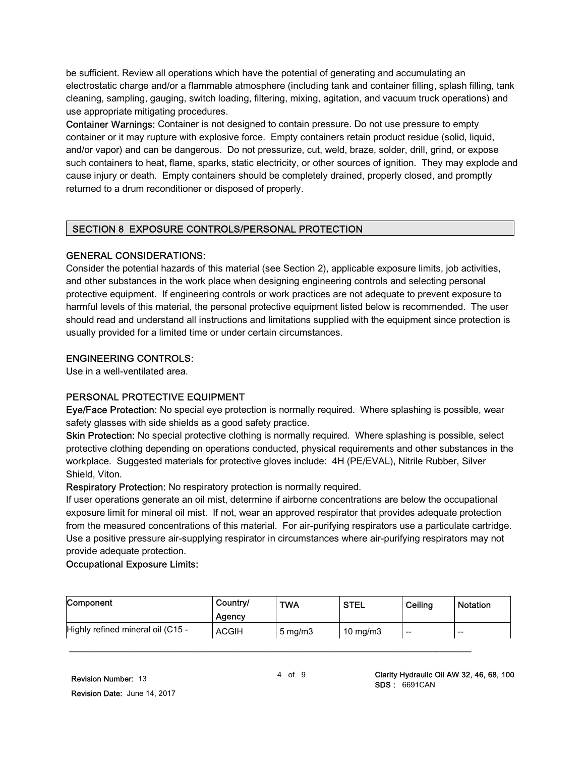be sufficient. Review all operations which have the potential of generating and accumulating an electrostatic charge and/or a flammable atmosphere (including tank and container filling, splash filling, tank cleaning, sampling, gauging, switch loading, filtering, mixing, agitation, and vacuum truck operations) and use appropriate mitigating procedures.

Container Warnings: Container is not designed to contain pressure. Do not use pressure to empty container or it may rupture with explosive force. Empty containers retain product residue (solid, liquid, and/or vapor) and can be dangerous. Do not pressurize, cut, weld, braze, solder, drill, grind, or expose such containers to heat, flame, sparks, static electricity, or other sources of ignition. They may explode and cause injury or death. Empty containers should be completely drained, properly closed, and promptly returned to a drum reconditioner or disposed of properly.

#### SECTION 8 EXPOSURE CONTROLS/PERSONAL PROTECTION

#### GENERAL CONSIDERATIONS:

Consider the potential hazards of this material (see Section 2), applicable exposure limits, job activities, and other substances in the work place when designing engineering controls and selecting personal protective equipment. If engineering controls or work practices are not adequate to prevent exposure to harmful levels of this material, the personal protective equipment listed below is recommended. The user should read and understand all instructions and limitations supplied with the equipment since protection is usually provided for a limited time or under certain circumstances.

#### ENGINEERING CONTROLS:

Use in a well-ventilated area.

## PERSONAL PROTECTIVE EQUIPMENT

Eye/Face Protection: No special eye protection is normally required. Where splashing is possible, wear safety glasses with side shields as a good safety practice.

Skin Protection: No special protective clothing is normally required. Where splashing is possible, select protective clothing depending on operations conducted, physical requirements and other substances in the workplace. Suggested materials for protective gloves include: 4H (PE/EVAL), Nitrile Rubber, Silver Shield, Viton.

Respiratory Protection: No respiratory protection is normally required.

If user operations generate an oil mist, determine if airborne concentrations are below the occupational exposure limit for mineral oil mist. If not, wear an approved respirator that provides adequate protection from the measured concentrations of this material. For air-purifying respirators use a particulate cartridge. Use a positive pressure air-supplying respirator in circumstances where air-purifying respirators may not provide adequate protection.

#### Occupational Exposure Limits:

| Component                         | Country/     | <b>TWA</b>          | <b>STEL</b> | Ceiling | Notation |
|-----------------------------------|--------------|---------------------|-------------|---------|----------|
|                                   | Agency       |                     |             |         |          |
| Highly refined mineral oil (C15 - | <b>ACGIH</b> | $5 \,\mathrm{mg/m}$ | 10 mg/m $3$ | $- -$   | $- -$    |
|                                   |              |                     |             |         |          |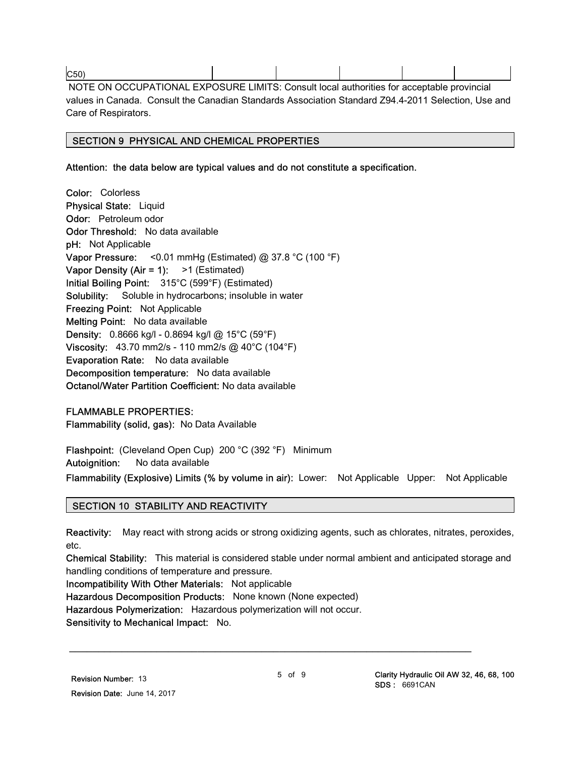C50) NOTE ON OCCUPATIONAL EXPOSURE LIMITS: Consult local authorities for acceptable provincial values in Canada. Consult the Canadian Standards Association Standard Z94.4-2011 Selection, Use and Care of Respirators.

## SECTION 9 PHYSICAL AND CHEMICAL PROPERTIES

Attention: the data below are typical values and do not constitute a specification.

Color: Colorless Physical State: Liquid Odor: Petroleum odor Odor Threshold: No data available pH: Not Applicable Vapor Pressure: < 0.01 mmHg (Estimated)  $@$  37.8 °C (100 °F) Vapor Density (Air = 1):  $>1$  (Estimated) Initial Boiling Point: 315°C (599°F) (Estimated) Solubility: Soluble in hydrocarbons; insoluble in water Freezing Point: Not Applicable Melting Point: No data available Density: 0.8666 kg/l - 0.8694 kg/l @ 15°C (59°F) Viscosity: 43.70 mm2/s - 110 mm2/s @ 40°C (104°F) Evaporation Rate: No data available Decomposition temperature: No data available Octanol/Water Partition Coefficient: No data available

#### FLAMMABLE PROPERTIES:

Flammability (solid, gas): No Data Available

Flashpoint: (Cleveland Open Cup) 200 °C (392 °F) Minimum Autoignition: No data available

Flammability (Explosive) Limits (% by volume in air): Lower: Not Applicable Upper: Not Applicable

#### SECTION 10 STABILITY AND REACTIVITY

Reactivity: May react with strong acids or strong oxidizing agents, such as chlorates, nitrates, peroxides, etc.

Chemical Stability: This material is considered stable under normal ambient and anticipated storage and handling conditions of temperature and pressure.

Incompatibility With Other Materials: Not applicable

Hazardous Decomposition Products: None known (None expected)

Hazardous Polymerization: Hazardous polymerization will not occur.

Sensitivity to Mechanical Impact: No.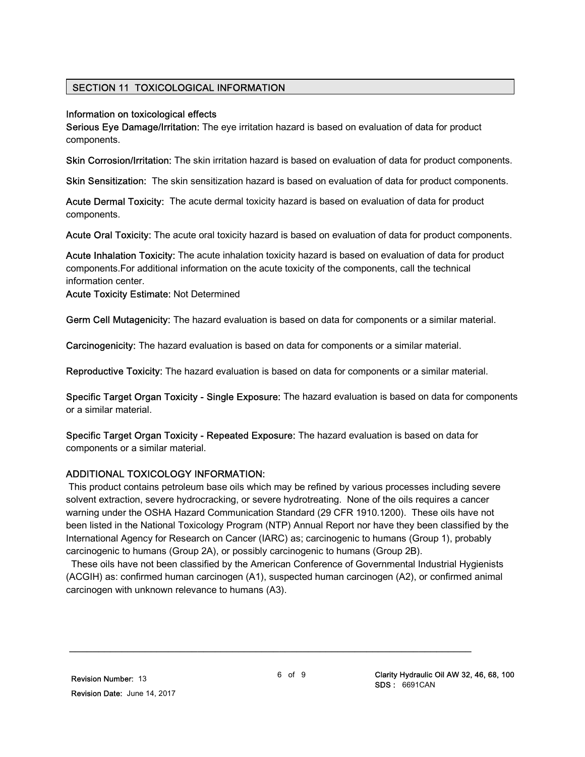## SECTION 11 TOXICOLOGICAL INFORMATION

#### Information on toxicological effects

Serious Eye Damage/Irritation: The eye irritation hazard is based on evaluation of data for product components.

Skin Corrosion/Irritation: The skin irritation hazard is based on evaluation of data for product components.

Skin Sensitization: The skin sensitization hazard is based on evaluation of data for product components.

Acute Dermal Toxicity: The acute dermal toxicity hazard is based on evaluation of data for product components.

Acute Oral Toxicity: The acute oral toxicity hazard is based on evaluation of data for product components.

Acute Inhalation Toxicity: The acute inhalation toxicity hazard is based on evaluation of data for product components.For additional information on the acute toxicity of the components, call the technical information center.

Acute Toxicity Estimate: Not Determined

Germ Cell Mutagenicity: The hazard evaluation is based on data for components or a similar material.

Carcinogenicity: The hazard evaluation is based on data for components or a similar material.

Reproductive Toxicity: The hazard evaluation is based on data for components or a similar material.

Specific Target Organ Toxicity - Single Exposure: The hazard evaluation is based on data for components or a similar material.

Specific Target Organ Toxicity - Repeated Exposure: The hazard evaluation is based on data for components or a similar material.

## ADDITIONAL TOXICOLOGY INFORMATION:

 This product contains petroleum base oils which may be refined by various processes including severe solvent extraction, severe hydrocracking, or severe hydrotreating. None of the oils requires a cancer warning under the OSHA Hazard Communication Standard (29 CFR 1910.1200). These oils have not been listed in the National Toxicology Program (NTP) Annual Report nor have they been classified by the International Agency for Research on Cancer (IARC) as; carcinogenic to humans (Group 1), probably carcinogenic to humans (Group 2A), or possibly carcinogenic to humans (Group 2B).

 These oils have not been classified by the American Conference of Governmental Industrial Hygienists (ACGIH) as: confirmed human carcinogen (A1), suspected human carcinogen (A2), or confirmed animal carcinogen with unknown relevance to humans (A3).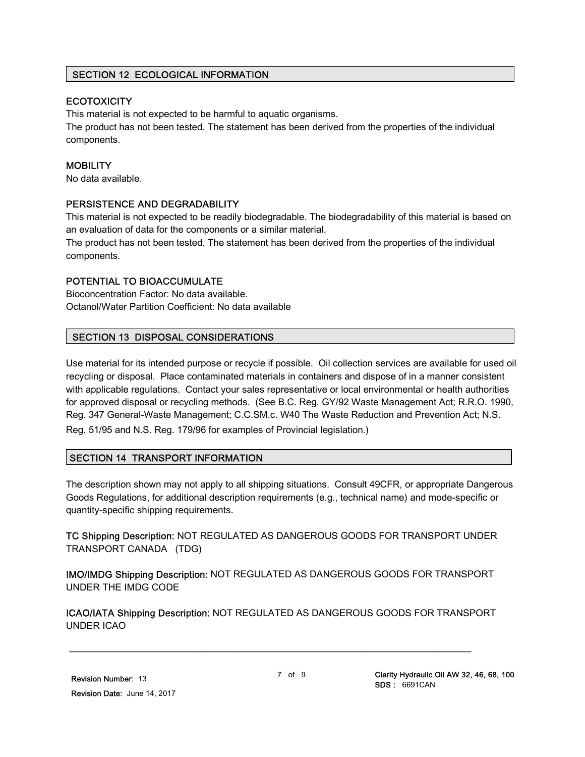## SECTION 12 ECOLOGICAL INFORMATION

## **ECOTOXICITY**

This material is not expected to be harmful to aquatic organisms.

The product has not been tested. The statement has been derived from the properties of the individual components.

## **MOBILITY**

No data available.

## PERSISTENCE AND DEGRADABILITY

This material is not expected to be readily biodegradable. The biodegradability of this material is based on an evaluation of data for the components or a similar material.

The product has not been tested. The statement has been derived from the properties of the individual components.

## POTENTIAL TO BIOACCUMULATE

Bioconcentration Factor: No data available. Octanol/Water Partition Coefficient: No data available

## SECTION 13 DISPOSAL CONSIDERATIONS

Use material for its intended purpose or recycle if possible. Oil collection services are available for used oil recycling or disposal. Place contaminated materials in containers and dispose of in a manner consistent with applicable regulations. Contact your sales representative or local environmental or health authorities for approved disposal or recycling methods. (See B.C. Reg. GY/92 Waste Management Act; R.R.O. 1990, Reg. 347 General-Waste Management; C.C.SM.c. W40 The Waste Reduction and Prevention Act; N.S. Reg. 51/95 and N.S. Reg. 179/96 for examples of Provincial legislation.)

## SECTION 14 TRANSPORT INFORMATION

The description shown may not apply to all shipping situations. Consult 49CFR, or appropriate Dangerous Goods Regulations, for additional description requirements (e.g., technical name) and mode-specific or quantity-specific shipping requirements.

TC Shipping Description: NOT REGULATED AS DANGEROUS GOODS FOR TRANSPORT UNDER TRANSPORT CANADA (TDG)

IMO/IMDG Shipping Description: NOT REGULATED AS DANGEROUS GOODS FOR TRANSPORT UNDER THE IMDG CODE

ICAO/IATA Shipping Description: NOT REGULATED AS DANGEROUS GOODS FOR TRANSPORT UNDER ICAO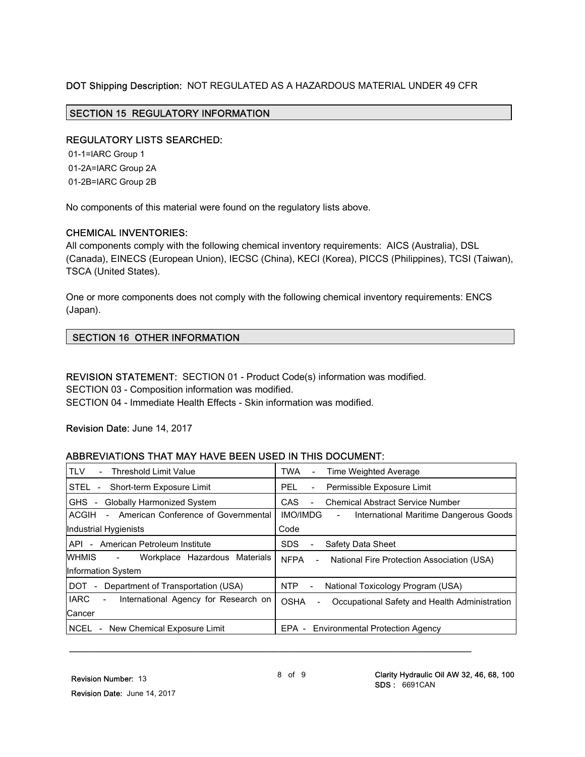#### DOT Shipping Description: NOT REGULATED AS A HAZARDOUS MATERIAL UNDER 49 CFR

#### SECTION 15 REGULATORY INFORMATION

#### REGULATORY LISTS SEARCHED:

 01-1=IARC Group 1 01-2A=IARC Group 2A 01-2B=IARC Group 2B

No components of this material were found on the regulatory lists above.

#### CHEMICAL INVENTORIES:

All components comply with the following chemical inventory requirements: AICS (Australia), DSL (Canada), EINECS (European Union), IECSC (China), KECI (Korea), PICCS (Philippines), TCSI (Taiwan), TSCA (United States).

One or more components does not comply with the following chemical inventory requirements: ENCS (Japan).

#### SECTION 16 OTHER INFORMATION

REVISION STATEMENT: SECTION 01 - Product Code(s) information was modified. SECTION 03 - Composition information was modified. SECTION 04 - Immediate Health Effects - Skin information was modified.

#### Revision Date: June 14, 2017

#### ABBREVIATIONS THAT MAY HAVE BEEN USED IN THIS DOCUMENT:

| <b>TLV</b><br><b>Threshold Limit Value</b>                                      | TWA<br>Time Weighted Average<br>$\blacksquare$                                           |
|---------------------------------------------------------------------------------|------------------------------------------------------------------------------------------|
| STEL -<br>Short-term Exposure Limit                                             | Permissible Exposure Limit<br>PEL.<br>$\overline{\phantom{a}}$                           |
| <b>Globally Harmonized System</b><br>GHS -                                      | <b>CAS</b><br><b>Chemical Abstract Service Number</b>                                    |
| - American Conference of Governmental<br>ACGIH                                  | <b>IMO/IMDG</b><br>International Maritime Dangerous Goods<br>$\overline{\phantom{a}}$    |
| Industrial Hygienists                                                           | Code                                                                                     |
| - American Petroleum Institute<br>API.                                          | <b>SDS</b><br>Safety Data Sheet                                                          |
| WHMIS<br>Workplace Hazardous Materials<br>$\sim 100$                            | <b>NFPA</b><br>National Fire Protection Association (USA)<br>$\sim$                      |
| Information System                                                              |                                                                                          |
| DOT.<br>Department of Transportation (USA)                                      | NTP<br>National Toxicology Program (USA)<br>$\sim$                                       |
| <b>IARC</b><br>International Agency for Research on<br>$\overline{\phantom{a}}$ | <b>OSHA</b><br>Occupational Safety and Health Administration<br>$\overline{\phantom{0}}$ |
| Cancer                                                                          |                                                                                          |
| NCEL<br>New Chemical Exposure Limit                                             | EPA -<br><b>Environmental Protection Agency</b>                                          |